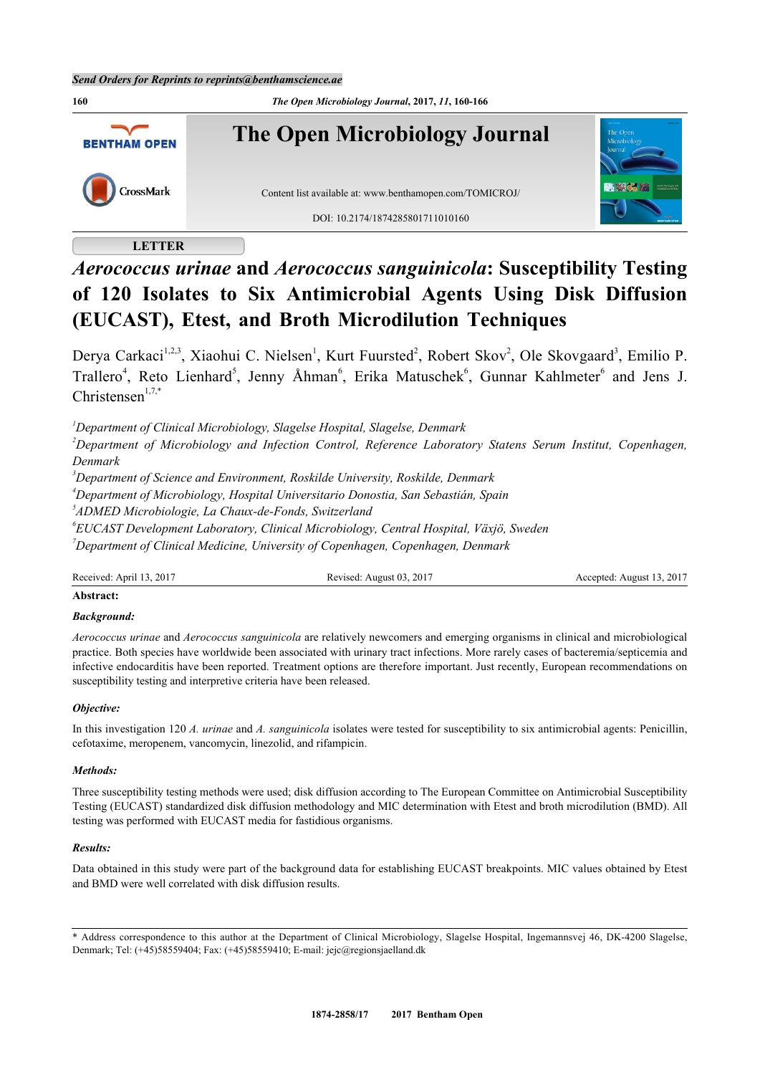

# **LETTER**

# *Aerococcus urinae* **and** *Aerococcus sanguinicola***: Susceptibility Testing of 120 Isolates to Six Antimicrobial Agents Using Disk Diffusion (EUCAST), Etest, and Broth Microdilution Techniques**

Derya Carkaci<sup>[1,](#page-0-0)[2,](#page-0-1)[3](#page-0-2)</sup>, Xiaohui C. Nielsen<sup>[1](#page-0-0)</sup>, Kurt Fuursted<sup>[2](#page-0-1)</sup>, Robert Skov<sup>2</sup>, Ole Skovgaard<sup>3</sup>, Emilio P. Trallero<sup>[4](#page-0-3)</sup>, Reto Lienhard<sup>[5](#page-0-4)</sup>, Jenny Åhman<sup>[6](#page-0-5)</sup>, Erika Matuschek<sup>6</sup>, Gunnar Kahlmeter<sup>6</sup> and Jens J. Christensen $1,7,*$  $1,7,*$  $1,7,*$ 

<span id="page-0-0"></span>*<sup>1</sup>Department of Clinical Microbiology, Slagelse Hospital, Slagelse, Denmark*

<span id="page-0-1"></span>*<sup>2</sup>Department of Microbiology and Infection Control, Reference Laboratory Statens Serum Institut, Copenhagen, Denmark*

<span id="page-0-2"></span>*<sup>3</sup>Department of Science and Environment, Roskilde University, Roskilde, Denmark*

<span id="page-0-3"></span>*<sup>4</sup>Department of Microbiology, Hospital Universitario Donostia, San Sebastián, Spain*

<span id="page-0-4"></span>*5 ADMED Microbiologie, La Chaux-de-Fonds, Switzerland*

<span id="page-0-6"></span><span id="page-0-5"></span>*6 EUCAST Development Laboratory, Clinical Microbiology, Central Hospital, Växjö, Sweden <sup>7</sup>Department of Clinical Medicine, University of Copenhagen, Copenhagen, Denmark*

Received: April 13, 2017 Revised: August 03, 2017 Accepted: August 13, 2017

## **Abstract:**

## *Background:*

*Aerococcus urinae* and *Aerococcus sanguinicola* are relatively newcomers and emerging organisms in clinical and microbiological practice. Both species have worldwide been associated with urinary tract infections. More rarely cases of bacteremia/septicemia and infective endocarditis have been reported. Treatment options are therefore important. Just recently, European recommendations on susceptibility testing and interpretive criteria have been released.

#### *Objective:*

In this investigation 120 *A. urinae* and *A. sanguinicola* isolates were tested for susceptibility to six antimicrobial agents: Penicillin, cefotaxime, meropenem, vancomycin, linezolid, and rifampicin.

#### *Methods:*

Three susceptibility testing methods were used; disk diffusion according to The European Committee on Antimicrobial Susceptibility Testing (EUCAST) standardized disk diffusion methodology and MIC determination with Etest and broth microdilution (BMD). All testing was performed with EUCAST media for fastidious organisms.

#### *Results:*

Data obtained in this study were part of the background data for establishing EUCAST breakpoints. MIC values obtained by Etest and BMD were well correlated with disk diffusion results.

<span id="page-0-7"></span><sup>\*</sup> Address correspondence to this author at the Department of Clinical Microbiology, Slagelse Hospital, Ingemannsvej 46, DK-4200 Slagelse, Denmark; Tel: (+45)58559404; Fax: (+45)58559410; E-mail: [jejc@regionsjaelland.dk](mailto:jejc@regionsjaelland.dk)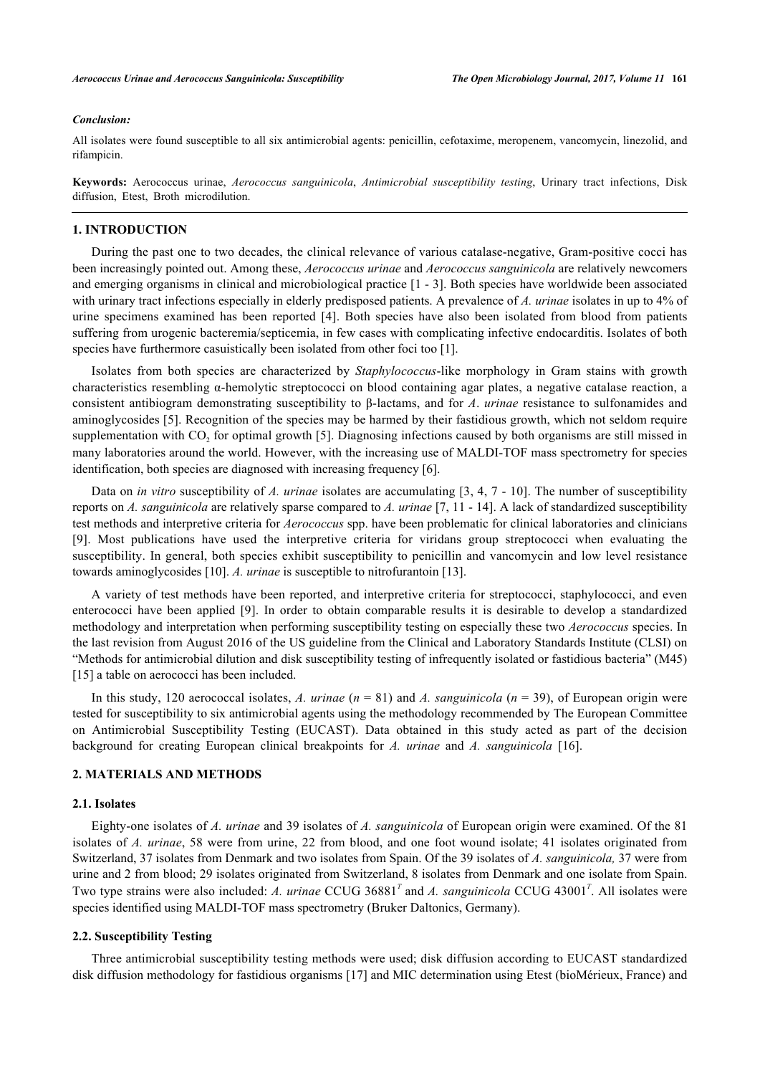#### *Conclusion:*

All isolates were found susceptible to all six antimicrobial agents: penicillin, cefotaxime, meropenem, vancomycin, linezolid, and rifampicin.

**Keywords:** Aerococcus urinae, *Aerococcus sanguinicola*, *Antimicrobial susceptibility testing*, Urinary tract infections, Disk diffusion, Etest, Broth microdilution.

# **1. INTRODUCTION**

During the past one to two decades, the clinical relevance of various catalase-negative, Gram-positive cocci has been increasingly pointed out. Among these, *Aerococcus urinae* and *Aerococcus sanguinicola* are relatively newcomers and emerging organisms in clinical and microbiological practice [[1](#page-5-0) - [3](#page-5-1)]. Both species have worldwide been associated with urinary tract infections especially in elderly predisposed patients. A prevalence of *A. urinae* isolates in up to 4% of urine specimens examined has been reported [\[4](#page-5-2)]. Both species have also been isolated from blood from patients suffering from urogenic bacteremia/septicemia, in few cases with complicating infective endocarditis. Isolates of both species have furthermore casuistically been isolated from other foci too [\[1](#page-5-0)].

Isolates from both species are characterized by *Staphylococcus*-like morphology in Gram stains with growth characteristics resembling α-hemolytic streptococci on blood containing agar plates, a negative catalase reaction, a consistent antibiogram demonstrating susceptibility to β-lactams, and for *A*. *urinae* resistance to sulfonamides and aminoglycosides [\[5](#page-5-3)]. Recognition of the species may be harmed by their fastidious growth, which not seldom require supplementation with  $CO_2$  for optimal growth [[5\]](#page-5-3). Diagnosing infections caused by both organisms are still missed in many laboratories around the world. However, with the increasing use of MALDI-TOF mass spectrometry for species identification, both species are diagnosed with increasing frequency [\[6](#page-5-4)].

Data on *in vitro* susceptibility of *A. urinae* isolates are accumulating [\[3](#page-5-1), [4](#page-5-2), [7](#page-5-5) - [10\]](#page-5-6). The number of susceptibility reports on *A. sanguinicola* are relatively sparse compared to *A. urinae* [\[7](#page-5-5), [11](#page-5-7) - [14](#page-5-8)]. A lack of standardized susceptibility test methods and interpretive criteria for *Aerococcus* spp. have been problematic for clinical laboratories and clinicians [\[9](#page-5-9)]. Most publications have used the interpretive criteria for viridans group streptococci when evaluating the susceptibility. In general, both species exhibit susceptibility to penicillin and vancomycin and low level resistance towards aminoglycosides [[10\]](#page-5-6). *A. urinae* is susceptible to nitrofurantoin [[13\]](#page-5-10).

A variety of test methods have been reported, and interpretive criteria for streptococci, staphylococci, and even enterococci have been applied[[9\]](#page-5-9). In order to obtain comparable results it is desirable to develop a standardized methodology and interpretation when performing susceptibility testing on especially these two *Aerococcus* species. In the last revision from August 2016 of the US guideline from the Clinical and Laboratory Standards Institute (CLSI) on "Methods for antimicrobial dilution and disk susceptibility testing of infrequently isolated or fastidious bacteria" (M45) [\[15](#page-6-0)] a table on aerococci has been included.

In this study, 120 aerococcal isolates, *A. urinae* (*n* = 81) and *A. sanguinicola* (*n* = 39), of European origin were tested for susceptibility to six antimicrobial agents using the methodology recommended by The European Committee on Antimicrobial Susceptibility Testing (EUCAST). Data obtained in this study acted as part of the decision background for creating European clinical breakpoints for *A. urinae* and *A. sanguinicola* [[16\]](#page-6-1).

# **2. MATERIALS AND METHODS**

## **2.1. Isolates**

Eighty-one isolates of *A. urinae* and 39 isolates of *A. sanguinicola* of European origin were examined. Of the 81 isolates of *A. urinae*, 58 were from urine, 22 from blood, and one foot wound isolate; 41 isolates originated from Switzerland, 37 isolates from Denmark and two isolates from Spain. Of the 39 isolates of *A. sanguinicola,* 37 were from urine and 2 from blood; 29 isolates originated from Switzerland, 8 isolates from Denmark and one isolate from Spain. Two type strains were also included: *A. urinae* CCUG 36881*<sup>T</sup>* and *A. sanguinicola* CCUG 43001*<sup>T</sup>* . All isolates were species identified using MALDI-TOF mass spectrometry (Bruker Daltonics, Germany).

#### **2.2. Susceptibility Testing**

Three antimicrobial susceptibility testing methods were used; disk diffusion according to EUCAST standardized disk diffusion methodology for fastidious organisms [[17\]](#page-6-2) and MIC determination using Etest (bioMérieux, France) and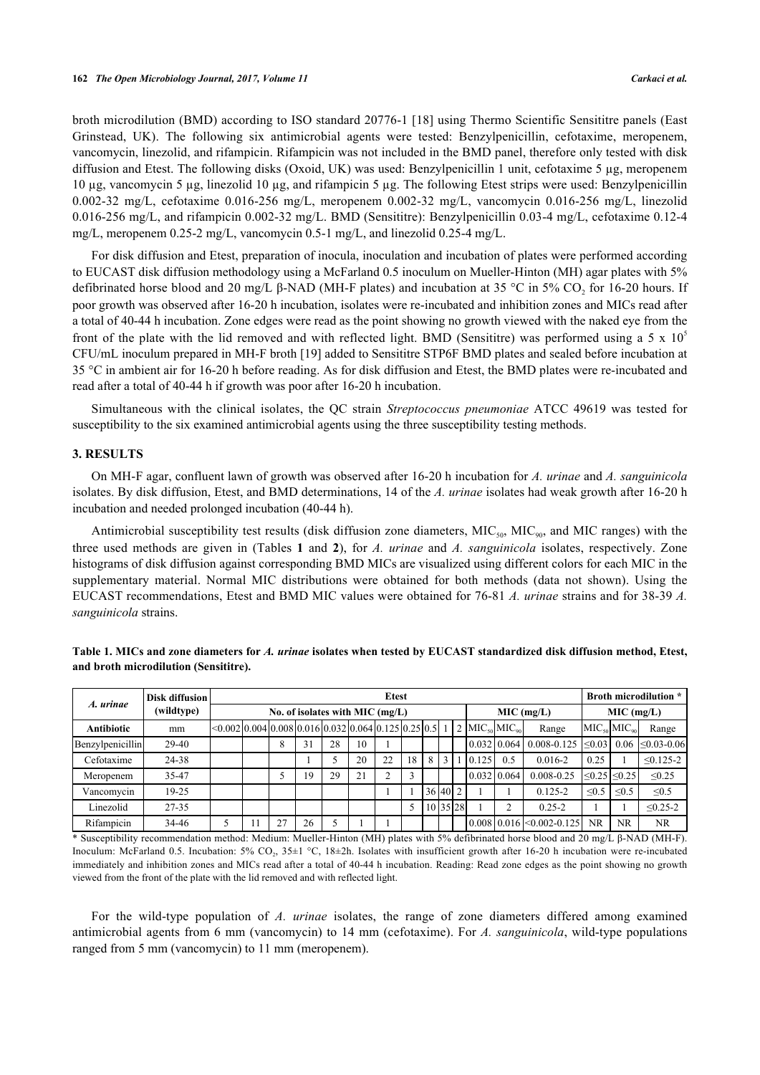broth microdilution (BMD) according to ISO standard 20776-1 [\[18](#page-6-3)] using Thermo Scientific Sensititre panels (East Grinstead, UK). The following six antimicrobial agents were tested: Benzylpenicillin, cefotaxime, meropenem, vancomycin, linezolid, and rifampicin. Rifampicin was not included in the BMD panel, therefore only tested with disk diffusion and Etest. The following disks (Oxoid, UK) was used: Benzylpenicillin 1 unit, cefotaxime 5 µg, meropenem 10 µg, vancomycin 5 µg, linezolid 10 µg, and rifampicin 5 µg. The following Etest strips were used: Benzylpenicillin 0.002-32 mg/L, cefotaxime 0.016-256 mg/L, meropenem 0.002-32 mg/L, vancomycin 0.016-256 mg/L, linezolid 0.016-256 mg/L, and rifampicin 0.002-32 mg/L. BMD (Sensititre): Benzylpenicillin 0.03-4 mg/L, cefotaxime 0.12-4 mg/L, meropenem 0.25-2 mg/L, vancomycin 0.5-1 mg/L, and linezolid 0.25-4 mg/L.

For disk diffusion and Etest, preparation of inocula, inoculation and incubation of plates were performed according to EUCAST disk diffusion methodology using a McFarland 0.5 inoculum on Mueller-Hinton (MH) agar plates with 5% defibrinated horse blood and 20 mg/L  $\beta$ -NAD (MH-F plates) and incubation at 35 °C in 5% CO<sub>2</sub> for 16-20 hours. If poor growth was observed after 16-20 h incubation, isolates were re-incubated and inhibition zones and MICs read after a total of 40-44 h incubation. Zone edges were read as the point showing no growth viewed with the naked eye from the front of the plate with the lid removed and with reflected light. BMD (Sensititre) was performed using a 5 x  $10^5$ CFU/mL inoculum prepared in MH-F broth [[19\]](#page-6-4) added to Sensititre STP6F BMD plates and sealed before incubation at 35 °C in ambient air for 16-20 h before reading. As for disk diffusion and Etest, the BMD plates were re-incubated and read after a total of 40-44 h if growth was poor after 16-20 h incubation.

Simultaneous with the clinical isolates, the QC strain *Streptococcus pneumoniae* ATCC 49619 was tested for susceptibility to the six examined antimicrobial agents using the three susceptibility testing methods.

#### **3. RESULTS**

On MH-F agar, confluent lawn of growth was observed after 16-20 h incubation for *A. urinae* and *A. sanguinicola* isolates. By disk diffusion, Etest, and BMD determinations, 14 of the *A. urinae* isolates had weak growth after 16-20 h incubation and needed prolonged incubation (40-44 h).

Antimicrobial susceptibility test results (disk diffusion zone diameters,  $MIC<sub>90</sub>$ , MIC<sub>90</sub>, and MIC ranges) with the three used methods are given in (Tables**1** and**2**), for *A. urinae* and *A. sanguinicola* isolates, respectively. Zone histograms of disk diffusion against corresponding BMD MICs are visualized using different colors for each MIC in the supplementary material. Normal MIC distributions were obtained for both methods (data not shown). Using the EUCAST recommendations, Etest and BMD MIC values were obtained for 76-81 *A. urinae* strains and for 38-39 *A. sanguinicola* strains.

| A. urinae         | Disk diffusion | <b>Etest</b>                                                                                                       |                                                   |    |    |    |    |    |    |          |              |  |                                         | <b>Broth microdilution</b> * |                                               |            |                           |                    |
|-------------------|----------------|--------------------------------------------------------------------------------------------------------------------|---------------------------------------------------|----|----|----|----|----|----|----------|--------------|--|-----------------------------------------|------------------------------|-----------------------------------------------|------------|---------------------------|--------------------|
|                   | (wildtype)     |                                                                                                                    | No. of isolates with MIC $(mg/L)$<br>$MIC$ (mg/L) |    |    |    |    |    |    |          | $MIC$ (mg/L) |  |                                         |                              |                                               |            |                           |                    |
| <b>Antibiotic</b> | mm             | $\leq 0.002 \cdot 0.004 \cdot 0.008 \cdot 0.016 \cdot 0.032 \cdot 0.064 \cdot 0.125 \cdot 0.25 \cdot 0.51 \cdot 1$ |                                                   |    |    |    |    |    |    |          |              |  | $2$ MIC <sub>50</sub> MIC <sub>90</sub> |                              | Range                                         |            | $MICso$ MIC <sub>on</sub> | Range              |
| Benzylpenicillin  | $29-40$        |                                                                                                                    |                                                   | 8  | 31 | 28 | 10 |    |    |          |              |  |                                         |                              | 0.032   0.064   0.008 - 0.125   < 0.03   0.06 |            |                           | $\leq 0.03 - 0.06$ |
| Cefotaxime        | 24-38          |                                                                                                                    |                                                   |    |    |    | 20 | 22 | 18 | 8        | 3            |  | 0.125                                   | 0.5                          | $0.016 - 2$                                   | 0.25       |                           | $\leq 0.125 - 2$   |
| Meropenem         | 35-47          |                                                                                                                    |                                                   |    | 19 | 29 | 21 |    | 3  |          |              |  | $0.032$ 0.064                           |                              | $0.008 - 0.25$                                |            | $≤0.25$ ≤0.25             | $\leq 0.25$        |
| Vancomycin        | 19-25          |                                                                                                                    |                                                   |    |    |    |    |    |    | 36 40 2  |              |  |                                         |                              | $0.125 - 2$                                   | $\leq 0.5$ | $\leq 0.5$                | $\leq 0.5$         |
| Linezolid         | 27-35          |                                                                                                                    |                                                   |    |    |    |    |    |    | 10 35 28 |              |  |                                         |                              | $0.25 - 2$                                    |            |                           | $\leq 0.25 - 2$    |
| Rifampicin        | 34-46          |                                                                                                                    |                                                   | 27 | 26 |    |    |    |    |          |              |  |                                         |                              | 0.008   0.016  <0.002-0.125                   | NR.        | <b>NR</b>                 | <b>NR</b>          |

<span id="page-2-0"></span>**Table 1. MICs and zone diameters for** *A. urinae* **isolates when tested by EUCAST standardized disk diffusion method, Etest, and broth microdilution (Sensititre).**

\* Susceptibility recommendation method: Medium: Mueller-Hinton (MH) plates with 5% defibrinated horse blood and 20 mg/L β-NAD (MH-F). Inoculum: McFarland 0.5. Incubation: 5% CO<sub>2</sub>, 35±1 °C, 18±2h. Isolates with insufficient growth after 16-20 h incubation were re-incubated immediately and inhibition zones and MICs read after a total of 40-44 h incubation. Reading: Read zone edges as the point showing no growth viewed from the front of the plate with the lid removed and with reflected light.

For the wild-type population of *A. urinae* isolates, the range of zone diameters differed among examined antimicrobial agents from 6 mm (vancomycin) to 14 mm (cefotaxime). For *A. sanguinicola*, wild-type populations ranged from 5 mm (vancomycin) to 11 mm (meropenem).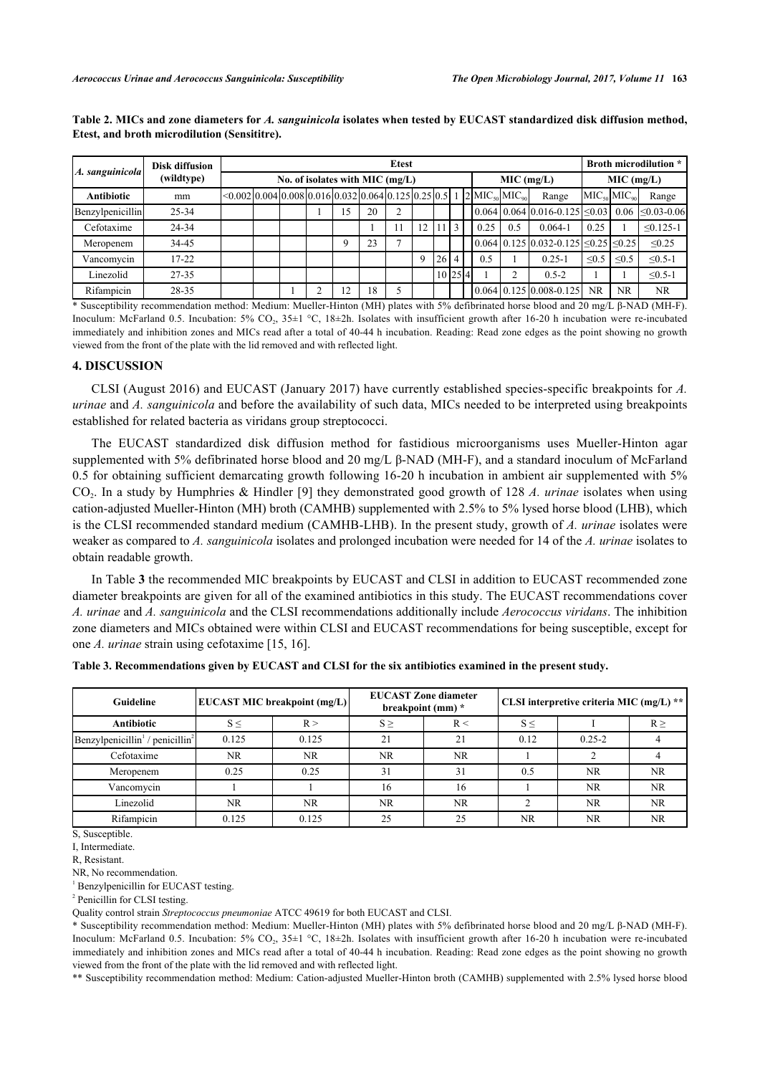| A. sanguinicola         | <b>Disk diffusion</b> | <b>Etest</b>                                                                                                       |                                   |  |   |    |    |  |             |    |                |  |                                         | <b>Broth microdilution</b> * |                                                                                            |                           |            |                    |
|-------------------------|-----------------------|--------------------------------------------------------------------------------------------------------------------|-----------------------------------|--|---|----|----|--|-------------|----|----------------|--|-----------------------------------------|------------------------------|--------------------------------------------------------------------------------------------|---------------------------|------------|--------------------|
|                         | (wildtype)            |                                                                                                                    | No. of isolates with MIC $(mg/L)$ |  |   |    |    |  |             |    |                |  |                                         | $MIC$ (mg/L)                 |                                                                                            | $MIC$ (mg/L)              |            |                    |
| <b>Antibiotic</b>       | mm                    | $\leq 0.002 \cdot 0.004 \cdot 0.008 \cdot 0.016 \cdot 0.032 \cdot 0.064 \cdot 0.125 \cdot 0.25 \cdot 0.51 \cdot 1$ |                                   |  |   |    |    |  |             |    |                |  | $2$ MIC <sub>50</sub> MIC <sub>90</sub> |                              | Range                                                                                      | $MIC50$ MIC <sub>90</sub> |            | Range              |
| <b>Benzylpenicillin</b> | $25 - 34$             |                                                                                                                    |                                   |  |   | 15 | 20 |  |             |    |                |  |                                         |                              | $\vert 0.064 \vert 0.064 \vert 0.016 - 0.125 \vert \leq 0.03 \vert 0.06$                   |                           |            | $\leq 0.03 - 0.06$ |
| Cefotaxime              | 24-34                 |                                                                                                                    |                                   |  |   |    |    |  | 12          |    | 3              |  | 0.25                                    | 0.5                          | $0.064 - 1$                                                                                | 0.25                      |            | $\leq 0.125 - 1$   |
| Meropenem               | 34-45                 |                                                                                                                    |                                   |  |   |    | 23 |  |             |    |                |  |                                         |                              | $\left  0.064 \right  0.125 \left  0.032 - 0.125 \right  \le 0.25 \left  \le 0.25 \right $ |                           |            | $\leq 0.25$        |
| Vancomycin              | $17 - 22$             |                                                                                                                    |                                   |  |   |    |    |  | $\mathbf Q$ | 26 | $\overline{4}$ |  | 0.5                                     |                              | $0.25 - 1$                                                                                 | < 0.5                     | $\leq 0.5$ | $\leq 0.5 - 1$     |
| Linezolid               | $27 - 35$             |                                                                                                                    |                                   |  |   |    |    |  |             |    | 10 25 4        |  |                                         | ↑                            | $0.5 - 2$                                                                                  |                           |            | $\leq 0.5 - 1$     |
| Rifampicin              | 28-35                 |                                                                                                                    |                                   |  | ◠ | 12 | 18 |  |             |    |                |  |                                         |                              | $[0.064] 0.125] 0.008 - 0.125]$                                                            | <b>NR</b>                 | <b>NR</b>  | <b>NR</b>          |

<span id="page-3-0"></span>**Table 2. MICs and zone diameters for** *A. sanguinicola* **isolates when tested by EUCAST standardized disk diffusion method, Etest, and broth microdilution (Sensititre).**

\* Susceptibility recommendation method: Medium: Mueller-Hinton (MH) plates with 5% defibrinated horse blood and 20 mg/L β-NAD (MH-F). Inoculum: McFarland 0.5. Incubation: 5% CO<sub>2</sub>, 35±1 °C, 18±2h. Isolates with insufficient growth after 16-20 h incubation were re-incubated immediately and inhibition zones and MICs read after a total of 40-44 h incubation. Reading: Read zone edges as the point showing no growth viewed from the front of the plate with the lid removed and with reflected light.

#### **4. DISCUSSION**

CLSI (August 2016) and EUCAST (January 2017) have currently established species-specific breakpoints for *A. urinae* and *A. sanguinicola* and before the availability of such data, MICs needed to be interpreted using breakpoints established for related bacteria as viridans group streptococci.

The EUCAST standardized disk diffusion method for fastidious microorganisms uses Mueller-Hinton agar supplemented with 5% defibrinated horse blood and 20 mg/L β-NAD (MH-F), and a standard inoculum of McFarland 0.5 for obtaining sufficient demarcating growth following 16-20 h incubation in ambient air supplemented with 5% CO<sup>2</sup> . In a study by Humphries & Hindler [[9\]](#page-5-9) they demonstrated good growth of 128 *A. urinae* isolates when using cation-adjusted Mueller-Hinton (MH) broth (CAMHB) supplemented with 2.5% to 5% lysed horse blood (LHB), which is the CLSI recommended standard medium (CAMHB-LHB). In the present study, growth of *A. urinae* isolates were weaker as compared to *A. sanguinicola* isolates and prolonged incubation were needed for 14 of the *A. urinae* isolates to obtain readable growth.

In Table **[3](#page-3-1)** the recommended MIC breakpoints by EUCAST and CLSI in addition to EUCAST recommended zone diameter breakpoints are given for all of the examined antibiotics in this study. The EUCAST recommendations cover *A. urinae* and *A. sanguinicola* and the CLSI recommendations additionally include *Aerococcus viridans*. The inhibition zone diameters and MICs obtained were within CLSI and EUCAST recommendations for being susceptible, except for one *A. urinae* strain using cefotaxime [[15,](#page-6-0) [16\]](#page-6-1).

| Guideline                                               |                 | <b>EUCAST MIC breakpoint (mg/L)</b> |           | <b>EUCAST Zone diameter</b><br>breakpoint (mm) * | CLSI interpretive criteria MIC (mg/L) ** |            |           |  |  |
|---------------------------------------------------------|-----------------|-------------------------------------|-----------|--------------------------------------------------|------------------------------------------|------------|-----------|--|--|
| Antibiotic                                              | $S \leq$<br>R > |                                     | $S \geq$  | R <                                              | $S \leq$                                 | $R \geq$   |           |  |  |
| Benzylpenicillin <sup>1</sup> / penicillin <sup>2</sup> | 0.125           | 0.125                               | 21        | 21                                               | 0.12                                     | $0.25 - 2$ |           |  |  |
| Cefotaxime                                              | NR.             | <b>NR</b>                           | NR.       | NR.                                              |                                          |            |           |  |  |
| Meropenem                                               | 0.25            | 0.25                                | 31        | 31                                               | 0.5                                      | NR.        | <b>NR</b> |  |  |
| Vancomycin                                              |                 |                                     | 16        | 16                                               |                                          | <b>NR</b>  | NR.       |  |  |
| Linezolid                                               | NR.             | <b>NR</b>                           | <b>NR</b> | <b>NR</b>                                        |                                          | <b>NR</b>  | NR.       |  |  |
| Rifampicin                                              | 0.125           | 0.125                               | 25        | 25                                               | <b>NR</b>                                | NR.        | NR.       |  |  |

<span id="page-3-1"></span>

| Table 3. Recommendations given by EUCAST and CLSI for the six antibiotics examined in the present study. |  |  |  |
|----------------------------------------------------------------------------------------------------------|--|--|--|
|                                                                                                          |  |  |  |

S, Susceptible.

I, Intermediate.

R, Resistant.

NR, No recommendation.

<sup>1</sup> Benzylpenicillin for EUCAST testing.

<sup>2</sup> Penicillin for CLSI testing.

Quality control strain *Streptococcus pneumoniae* ATCC 49619 for both EUCAST and CLSI.

\* Susceptibility recommendation method: Medium: Mueller-Hinton (MH) plates with 5% defibrinated horse blood and 20 mg/L β-NAD (MH-F). Inoculum: McFarland 0.5. Incubation: 5% CO<sub>2</sub>, 35±1 °C, 18±2h. Isolates with insufficient growth after 16-20 h incubation were re-incubated immediately and inhibition zones and MICs read after a total of 40-44 h incubation. Reading: Read zone edges as the point showing no growth viewed from the front of the plate with the lid removed and with reflected light.

\*\* Susceptibility recommendation method: Medium: Cation-adjusted Mueller-Hinton broth (CAMHB) supplemented with 2.5% lysed horse blood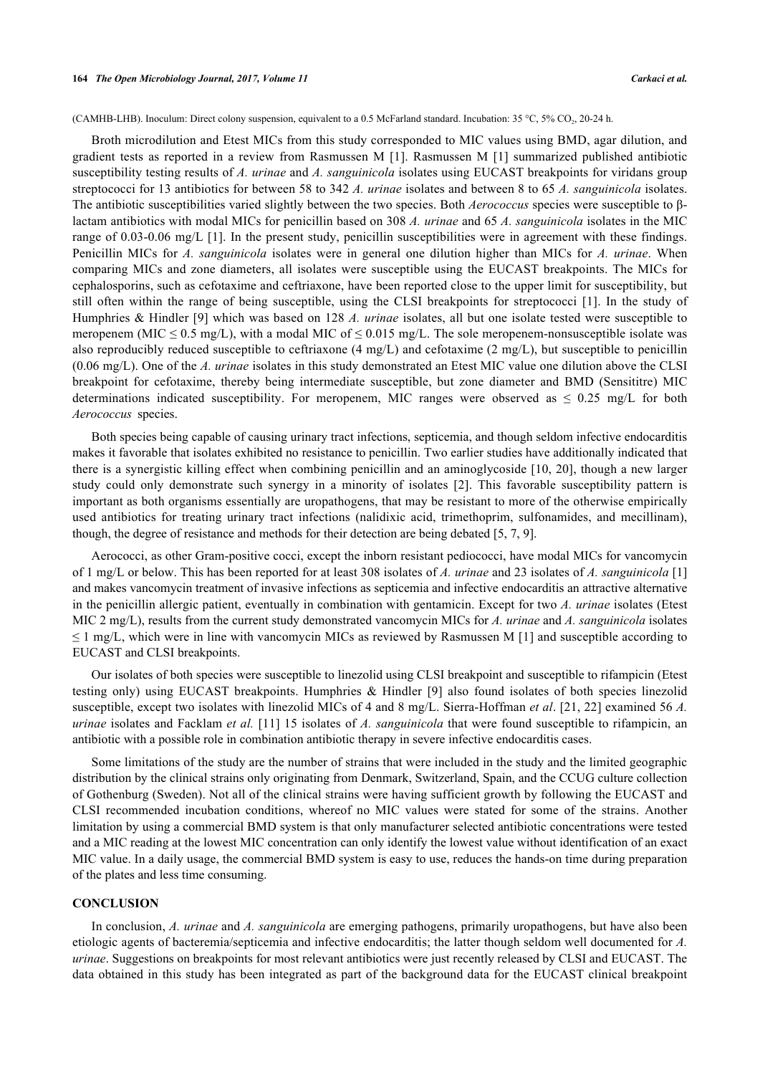(CAMHB-LHB). Inoculum: Direct colony suspension, equivalent to a 0.5 McFarland standard. Incubation:  $35 °C$ ,  $5\%$  CO<sub>2</sub>, 20-24 h.

Broth microdilution and Etest MICs from this study corresponded to MIC values using BMD, agar dilution, and gradient tests as reported in a review from Rasmussen M[[1\]](#page-5-0). Rasmussen M[[1](#page-5-0)] summarized published antibiotic susceptibility testing results of *A. urinae* and *A. sanguinicola* isolates using EUCAST breakpoints for viridans group streptococci for 13 antibiotics for between 58 to 342 *A. urinae* isolates and between 8 to 65 *A. sanguinicola* isolates. The antibiotic susceptibilities varied slightly between the two species. Both *Aerococcus* species were susceptible to βlactam antibiotics with modal MICs for penicillin based on 308 *A. urinae* and 65 *A. sanguinicola* isolates in the MIC range of 0.03-0.06 mg/L [\[1](#page-5-0)]. In the present study, penicillin susceptibilities were in agreement with these findings. Penicillin MICs for *A. sanguinicola* isolates were in general one dilution higher than MICs for *A. urinae*. When comparing MICs and zone diameters, all isolates were susceptible using the EUCAST breakpoints. The MICs for cephalosporins, such as cefotaxime and ceftriaxone, have been reported close to the upper limit for susceptibility, but still often within the range of being susceptible, using the CLSI breakpoints for streptococci[[1\]](#page-5-0). In the study of Humphries & Hindler [[9\]](#page-5-9) which was based on 128 *A. urinae* isolates, all but one isolate tested were susceptible to meropenem (MIC  $\leq 0.5$  mg/L), with a modal MIC of  $\leq 0.015$  mg/L. The sole meropenem-nonsusceptible isolate was also reproducibly reduced susceptible to ceftriaxone (4 mg/L) and cefotaxime (2 mg/L), but susceptible to penicillin (0.06 mg/L). One of the *A. urinae* isolates in this study demonstrated an Etest MIC value one dilution above the CLSI breakpoint for cefotaxime, thereby being intermediate susceptible, but zone diameter and BMD (Sensititre) MIC determinations indicated susceptibility. For meropenem, MIC ranges were observed as  $\leq 0.25$  mg/L for both *Aerococcus* species.

Both species being capable of causing urinary tract infections, septicemia, and though seldom infective endocarditis makes it favorable that isolates exhibited no resistance to penicillin. Two earlier studies have additionally indicated that there is a synergistic killing effect when combining penicillin and an aminoglycoside [[10,](#page-5-6) [20\]](#page-6-5), though a new larger study could only demonstrate such synergy in a minority of isolates[[2](#page-5-11)]. This favorable susceptibility pattern is important as both organisms essentially are uropathogens, that may be resistant to more of the otherwise empirically used antibiotics for treating urinary tract infections (nalidixic acid, trimethoprim, sulfonamides, and mecillinam), though, the degree of resistance and methods for their detection are being debated [[5,](#page-5-3) [7,](#page-5-5) [9\]](#page-5-9).

Aerococci, as other Gram-positive cocci, except the inborn resistant pediococci, have modal MICs for vancomycin of 1 mg/L or below. This has been reported for at least 308 isolates of *A. urinae* and 23 isolates of *A. sanguinicola* [\[1](#page-5-0)] and makes vancomycin treatment of invasive infections as septicemia and infective endocarditis an attractive alternative in the penicillin allergic patient, eventually in combination with gentamicin. Except for two *A. urinae* isolates (Etest MIC 2 mg/L), results from the current study demonstrated vancomycin MICs for *A. urinae* and *A. sanguinicola* isolates  $\leq 1$  mg/L, which were in line with vancomycin MICs as reviewed by Rasmussen M [[1\]](#page-5-0) and susceptible according to EUCAST and CLSI breakpoints.

Our isolates of both species were susceptible to linezolid using CLSI breakpoint and susceptible to rifampicin (Etest testing only) using EUCAST breakpoints. Humphries & Hindler [\[9](#page-5-9)] also found isolates of both species linezolid susceptible, except two isolates with linezolid MICs of 4 and 8 mg/L. Sierra-Hoffman *et al*. [\[21](#page-6-6), [22\]](#page-6-7) examined 56 *A. urinae* isolates and Facklam *et al.* [[11\]](#page-5-7) 15 isolates of *A. sanguinicola* that were found susceptible to rifampicin, an antibiotic with a possible role in combination antibiotic therapy in severe infective endocarditis cases.

Some limitations of the study are the number of strains that were included in the study and the limited geographic distribution by the clinical strains only originating from Denmark, Switzerland, Spain, and the CCUG culture collection of Gothenburg (Sweden). Not all of the clinical strains were having sufficient growth by following the EUCAST and CLSI recommended incubation conditions, whereof no MIC values were stated for some of the strains. Another limitation by using a commercial BMD system is that only manufacturer selected antibiotic concentrations were tested and a MIC reading at the lowest MIC concentration can only identify the lowest value without identification of an exact MIC value. In a daily usage, the commercial BMD system is easy to use, reduces the hands-on time during preparation of the plates and less time consuming.

# **CONCLUSION**

In conclusion, *A. urinae* and *A. sanguinicola* are emerging pathogens, primarily uropathogens, but have also been etiologic agents of bacteremia/septicemia and infective endocarditis; the latter though seldom well documented for *A. urinae*. Suggestions on breakpoints for most relevant antibiotics were just recently released by CLSI and EUCAST. The data obtained in this study has been integrated as part of the background data for the EUCAST clinical breakpoint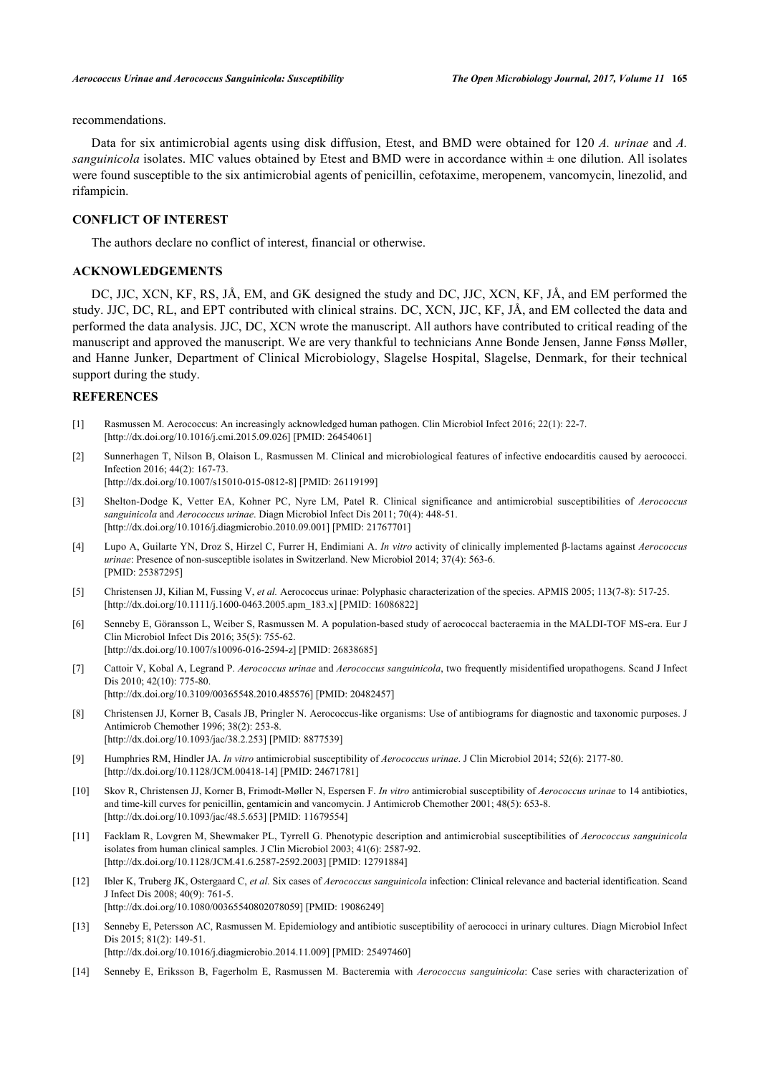recommendations.

Data for six antimicrobial agents using disk diffusion, Etest, and BMD were obtained for 120 *A. urinae* and *A. sanguinicola* isolates. MIC values obtained by Etest and BMD were in accordance within  $\pm$  one dilution. All isolates were found susceptible to the six antimicrobial agents of penicillin, cefotaxime, meropenem, vancomycin, linezolid, and rifampicin.

# **CONFLICT OF INTEREST**

The authors declare no conflict of interest, financial or otherwise.

# **ACKNOWLEDGEMENTS**

DC, JJC, XCN, KF, RS, JÅ, EM, and GK designed the study and DC, JJC, XCN, KF, JÅ, and EM performed the study. JJC, DC, RL, and EPT contributed with clinical strains. DC, XCN, JJC, KF, JÅ, and EM collected the data and performed the data analysis. JJC, DC, XCN wrote the manuscript. All authors have contributed to critical reading of the manuscript and approved the manuscript. We are very thankful to technicians Anne Bonde Jensen, Janne Fønss Møller, and Hanne Junker, Department of Clinical Microbiology, Slagelse Hospital, Slagelse, Denmark, for their technical support during the study.

# **REFERENCES**

- <span id="page-5-0"></span>[1] Rasmussen M. Aerococcus: An increasingly acknowledged human pathogen. Clin Microbiol Infect 2016; 22(1): 22-7. [\[http://dx.doi.org/10.1016/j.cmi.2015.09.026](http://dx.doi.org/10.1016/j.cmi.2015.09.026)] [PMID: [26454061\]](http://www.ncbi.nlm.nih.gov/pubmed/26454061)
- <span id="page-5-11"></span>[2] Sunnerhagen T, Nilson B, Olaison L, Rasmussen M. Clinical and microbiological features of infective endocarditis caused by aerococci. Infection 2016; 44(2): 167-73. [\[http://dx.doi.org/10.1007/s15010-015-0812-8\]](http://dx.doi.org/10.1007/s15010-015-0812-8) [PMID: [26119199](http://www.ncbi.nlm.nih.gov/pubmed/26119199)]
- <span id="page-5-1"></span>[3] Shelton-Dodge K, Vetter EA, Kohner PC, Nyre LM, Patel R. Clinical significance and antimicrobial susceptibilities of *Aerococcus sanguinicola* and *Aerococcus urinae*. Diagn Microbiol Infect Dis 2011; 70(4): 448-51. [\[http://dx.doi.org/10.1016/j.diagmicrobio.2010.09.001\]](http://dx.doi.org/10.1016/j.diagmicrobio.2010.09.001) [PMID: [21767701](http://www.ncbi.nlm.nih.gov/pubmed/21767701)]
- <span id="page-5-2"></span>[4] Lupo A, Guilarte YN, Droz S, Hirzel C, Furrer H, Endimiani A. *In vitro* activity of clinically implemented β-lactams against *Aerococcus urinae*: Presence of non-susceptible isolates in Switzerland. New Microbiol 2014; 37(4): 563-6. [PMID: [25387295\]](http://www.ncbi.nlm.nih.gov/pubmed/25387295)
- <span id="page-5-3"></span>[5] Christensen JJ, Kilian M, Fussing V, *et al.* Aerococcus urinae: Polyphasic characterization of the species. APMIS 2005; 113(7-8): 517-25. [\[http://dx.doi.org/10.1111/j.1600-0463.2005.apm\\_183.x](http://dx.doi.org/10.1111/j.1600-0463.2005.apm_183.x)] [PMID: [16086822](http://www.ncbi.nlm.nih.gov/pubmed/16086822)]
- <span id="page-5-4"></span>[6] Senneby E, Göransson L, Weiber S, Rasmussen M. A population-based study of aerococcal bacteraemia in the MALDI-TOF MS-era. Eur J Clin Microbiol Infect Dis 2016; 35(5): 755-62. [\[http://dx.doi.org/10.1007/s10096-016-2594-z](http://dx.doi.org/10.1007/s10096-016-2594-z)] [PMID: [26838685](http://www.ncbi.nlm.nih.gov/pubmed/26838685)]
- <span id="page-5-5"></span>[7] Cattoir V, Kobal A, Legrand P. *Aerococcus urinae* and *Aerococcus sanguinicola*, two frequently misidentified uropathogens. Scand J Infect Dis 2010; 42(10): 775-80. [\[http://dx.doi.org/10.3109/00365548.2010.485576\]](http://dx.doi.org/10.3109/00365548.2010.485576) [PMID: [20482457](http://www.ncbi.nlm.nih.gov/pubmed/20482457)]
- [8] Christensen JJ, Korner B, Casals JB, Pringler N. Aerococcus-like organisms: Use of antibiograms for diagnostic and taxonomic purposes. J Antimicrob Chemother 1996; 38(2): 253-8. [\[http://dx.doi.org/10.1093/jac/38.2.253](http://dx.doi.org/10.1093/jac/38.2.253)] [PMID: [8877539\]](http://www.ncbi.nlm.nih.gov/pubmed/8877539)
- <span id="page-5-9"></span>[9] Humphries RM, Hindler JA. *In vitro* antimicrobial susceptibility of *Aerococcus urinae*. J Clin Microbiol 2014; 52(6): 2177-80. [\[http://dx.doi.org/10.1128/JCM.00418-14](http://dx.doi.org/10.1128/JCM.00418-14)] [PMID: [24671781\]](http://www.ncbi.nlm.nih.gov/pubmed/24671781)
- <span id="page-5-6"></span>[10] Skov R, Christensen JJ, Korner B, Frimodt-Møller N, Espersen F. *In vitro* antimicrobial susceptibility of *Aerococcus urinae* to 14 antibiotics, and time-kill curves for penicillin, gentamicin and vancomycin. J Antimicrob Chemother 2001; 48(5): 653-8. [\[http://dx.doi.org/10.1093/jac/48.5.653](http://dx.doi.org/10.1093/jac/48.5.653)] [PMID: [11679554\]](http://www.ncbi.nlm.nih.gov/pubmed/11679554)
- <span id="page-5-7"></span>[11] Facklam R, Lovgren M, Shewmaker PL, Tyrrell G. Phenotypic description and antimicrobial susceptibilities of *Aerococcus sanguinicola* isolates from human clinical samples. J Clin Microbiol 2003; 41(6): 2587-92. [\[http://dx.doi.org/10.1128/JCM.41.6.2587-2592.2003](http://dx.doi.org/10.1128/JCM.41.6.2587-2592.2003)] [PMID: [12791884\]](http://www.ncbi.nlm.nih.gov/pubmed/12791884)
- [12] Ibler K, Truberg JK, Ostergaard C, *et al.* Six cases of *Aerococcus sanguinicola* infection: Clinical relevance and bacterial identification. Scand J Infect Dis 2008; 40(9): 761-5. [\[http://dx.doi.org/10.1080/00365540802078059\]](http://dx.doi.org/10.1080/00365540802078059) [PMID: [19086249](http://www.ncbi.nlm.nih.gov/pubmed/19086249)]
- <span id="page-5-10"></span>[13] Senneby E, Petersson AC, Rasmussen M. Epidemiology and antibiotic susceptibility of aerococci in urinary cultures. Diagn Microbiol Infect Dis 2015; 81(2): 149-51. [\[http://dx.doi.org/10.1016/j.diagmicrobio.2014.11.009\]](http://dx.doi.org/10.1016/j.diagmicrobio.2014.11.009) [PMID: [25497460](http://www.ncbi.nlm.nih.gov/pubmed/25497460)]
- <span id="page-5-8"></span>[14] Senneby E, Eriksson B, Fagerholm E, Rasmussen M. Bacteremia with *Aerococcus sanguinicola*: Case series with characterization of